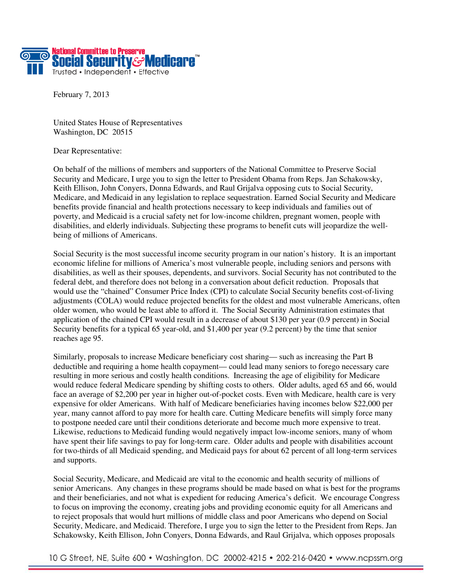

February 7, 2013

United States House of Representatives Washington, DC 20515

Dear Representative:

On behalf of the millions of members and supporters of the National Committee to Preserve Social Security and Medicare, I urge you to sign the letter to President Obama from Reps. Jan Schakowsky, Keith Ellison, John Conyers, Donna Edwards, and Raul Grijalva opposing cuts to Social Security, Medicare, and Medicaid in any legislation to replace sequestration. Earned Social Security and Medicare benefits provide financial and health protections necessary to keep individuals and families out of poverty, and Medicaid is a crucial safety net for low-income children, pregnant women, people with disabilities, and elderly individuals. Subjecting these programs to benefit cuts will jeopardize the wellbeing of millions of Americans.

Social Security is the most successful income security program in our nation's history. It is an important economic lifeline for millions of America's most vulnerable people, including seniors and persons with disabilities, as well as their spouses, dependents, and survivors. Social Security has not contributed to the federal debt, and therefore does not belong in a conversation about deficit reduction. Proposals that would use the "chained" Consumer Price Index (CPI) to calculate Social Security benefits cost-of-living adjustments (COLA) would reduce projected benefits for the oldest and most vulnerable Americans, often older women, who would be least able to afford it. The Social Security Administration estimates that application of the chained CPI would result in a decrease of about \$130 per year (0.9 percent) in Social Security benefits for a typical 65 year-old, and \$1,400 per year (9.2 percent) by the time that senior reaches age 95.

Similarly, proposals to increase Medicare beneficiary cost sharing— such as increasing the Part B deductible and requiring a home health copayment— could lead many seniors to forego necessary care resulting in more serious and costly health conditions. Increasing the age of eligibility for Medicare would reduce federal Medicare spending by shifting costs to others. Older adults, aged 65 and 66, would face an average of \$2,200 per year in higher out-of-pocket costs. Even with Medicare, health care is very expensive for older Americans. With half of Medicare beneficiaries having incomes below \$22,000 per year, many cannot afford to pay more for health care. Cutting Medicare benefits will simply force many to postpone needed care until their conditions deteriorate and become much more expensive to treat. Likewise, reductions to Medicaid funding would negatively impact low-income seniors, many of whom have spent their life savings to pay for long-term care. Older adults and people with disabilities account for two-thirds of all Medicaid spending, and Medicaid pays for about 62 percent of all long-term services and supports.

Social Security, Medicare, and Medicaid are vital to the economic and health security of millions of senior Americans. Any changes in these programs should be made based on what is best for the programs and their beneficiaries, and not what is expedient for reducing America's deficit. We encourage Congress to focus on improving the economy, creating jobs and providing economic equity for all Americans and to reject proposals that would hurt millions of middle class and poor Americans who depend on Social Security, Medicare, and Medicaid. Therefore, I urge you to sign the letter to the President from Reps. Jan Schakowsky, Keith Ellison, John Conyers, Donna Edwards, and Raul Grijalva, which opposes proposals

10 G Street, NE, Suite 600 • Washington, DC 20002-4215 • 202-216-0420 • www.ncpssm.org